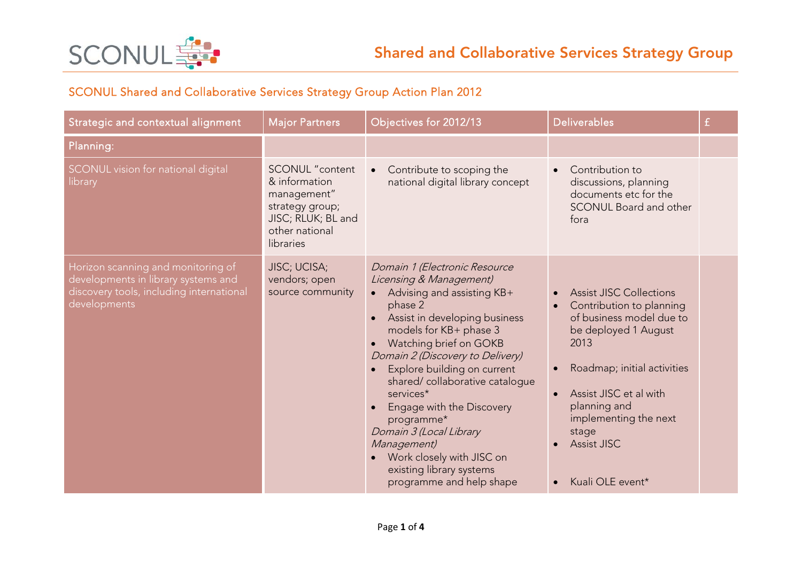

## SCONUL Shared and Collaborative Services Strategy Group Action Plan 2012

| Strategic and contextual alignment                                                                                                    | <b>Major Partners</b>                                                                                                          | Objectives for 2012/13                                                                                                                                                                                                                                                                                                                                                                                                                                                                                                    | <b>Deliverables</b>                                                                                                                                                                                                                                                                      | £ |
|---------------------------------------------------------------------------------------------------------------------------------------|--------------------------------------------------------------------------------------------------------------------------------|---------------------------------------------------------------------------------------------------------------------------------------------------------------------------------------------------------------------------------------------------------------------------------------------------------------------------------------------------------------------------------------------------------------------------------------------------------------------------------------------------------------------------|------------------------------------------------------------------------------------------------------------------------------------------------------------------------------------------------------------------------------------------------------------------------------------------|---|
| Planning:                                                                                                                             |                                                                                                                                |                                                                                                                                                                                                                                                                                                                                                                                                                                                                                                                           |                                                                                                                                                                                                                                                                                          |   |
| SCONUL vision for national digital<br>library                                                                                         | <b>SCONUL</b> "content<br>& information<br>management"<br>strategy group;<br>JISC; RLUK; BL and<br>other national<br>libraries | Contribute to scoping the<br>$\bullet$<br>national digital library concept                                                                                                                                                                                                                                                                                                                                                                                                                                                | Contribution to<br>discussions, planning<br>documents etc for the<br><b>SCONUL Board and other</b><br>fora                                                                                                                                                                               |   |
| Horizon scanning and monitoring of<br>developments in library systems and<br>discovery tools, including international<br>developments | JISC; UCISA;<br>vendors; open<br>source community                                                                              | Domain 1 (Electronic Resource<br>Licensing & Management)<br>Advising and assisting KB+<br>phase 2<br>Assist in developing business<br>models for KB+ phase 3<br>Watching brief on GOKB<br>$\bullet$<br>Domain 2 (Discovery to Delivery)<br>Explore building on current<br>$\bullet$<br>shared/collaborative catalogue<br>services*<br>Engage with the Discovery<br>$\bullet$<br>programme*<br>Domain 3 (Local Library<br>Management)<br>Work closely with JISC on<br>existing library systems<br>programme and help shape | <b>Assist JISC Collections</b><br>Contribution to planning<br>of business model due to<br>be deployed 1 August<br>2013<br>Roadmap; initial activities<br>Assist JISC et al with<br>planning and<br>implementing the next<br>stage<br><b>Assist JISC</b><br>Kuali OLE event*<br>$\bullet$ |   |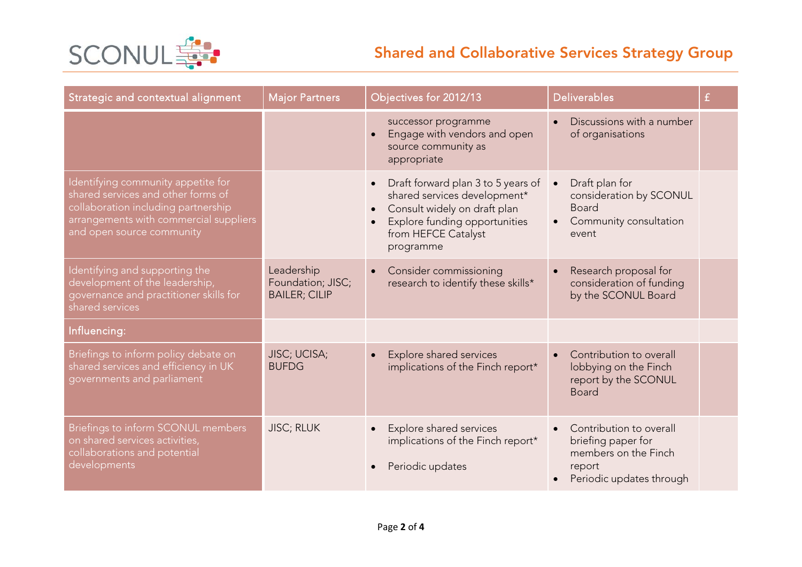

## Shared and Collaborative Services Strategy Group

| Strategic and contextual alignment                                                                                                                                                     | <b>Major Partners</b>                                   | Objectives for 2012/13                                                                                                                                                                            | <b>Deliverables</b>                                                                                         | £ |
|----------------------------------------------------------------------------------------------------------------------------------------------------------------------------------------|---------------------------------------------------------|---------------------------------------------------------------------------------------------------------------------------------------------------------------------------------------------------|-------------------------------------------------------------------------------------------------------------|---|
|                                                                                                                                                                                        |                                                         | successor programme<br>Engage with vendors and open<br>$\bullet$<br>source community as<br>appropriate                                                                                            | Discussions with a number<br>of organisations                                                               |   |
| Identifying community appetite for<br>shared services and other forms of<br>collaboration including partnership<br>arrangements with commercial suppliers<br>and open source community |                                                         | Draft forward plan 3 to 5 years of<br>shared services development*<br>Consult widely on draft plan<br>$\bullet$<br>Explore funding opportunities<br>$\bullet$<br>from HEFCE Catalyst<br>programme | Draft plan for<br>consideration by SCONUL<br><b>Board</b><br>Community consultation<br>$\bullet$<br>event   |   |
| Identifying and supporting the<br>development of the leadership,<br>governance and practitioner skills for<br>shared services                                                          | Leadership<br>Foundation; JISC;<br><b>BAILER; CILIP</b> | Consider commissioning<br>$\bullet$<br>research to identify these skills*                                                                                                                         | Research proposal for<br>consideration of funding<br>by the SCONUL Board                                    |   |
| Influencing:                                                                                                                                                                           |                                                         |                                                                                                                                                                                                   |                                                                                                             |   |
| Briefings to inform policy debate on<br>shared services and efficiency in UK<br>governments and parliament                                                                             | JISC; UCISA;<br><b>BUFDG</b>                            | Explore shared services<br>$\bullet$<br>implications of the Finch report*                                                                                                                         | Contribution to overall<br>$\bullet$<br>lobbying on the Finch<br>report by the SCONUL<br><b>Board</b>       |   |
| Briefings to inform SCONUL members<br>on shared services activities,<br>collaborations and potential<br>developments                                                                   | <b>JISC; RLUK</b>                                       | Explore shared services<br>implications of the Finch report*<br>Periodic updates                                                                                                                  | Contribution to overall<br>briefing paper for<br>members on the Finch<br>report<br>Periodic updates through |   |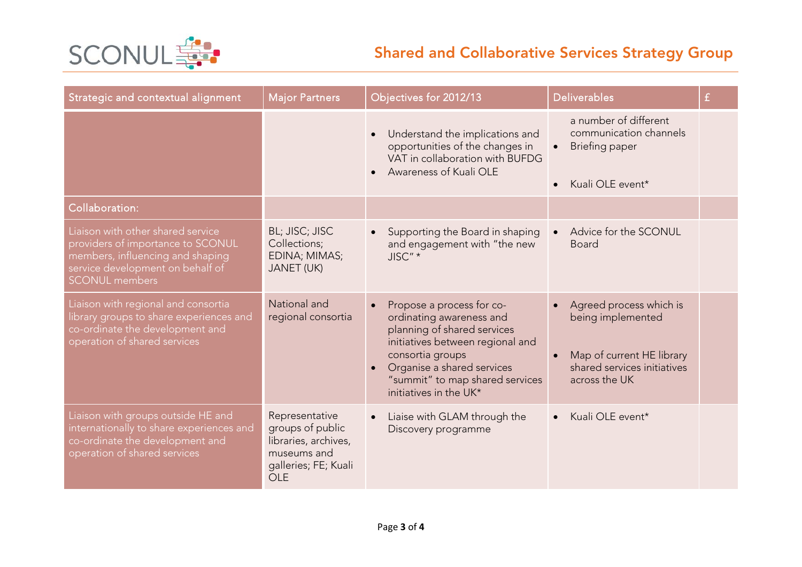

## Shared and Collaborative Services Strategy Group

| Strategic and contextual alignment                                                                                                                                      | <b>Major Partners</b>                                                                                           | Objectives for 2012/13                                                                                                                                                                                                                               | <b>Deliverables</b>                                                                                                       | $\mathbf{f}$ |
|-------------------------------------------------------------------------------------------------------------------------------------------------------------------------|-----------------------------------------------------------------------------------------------------------------|------------------------------------------------------------------------------------------------------------------------------------------------------------------------------------------------------------------------------------------------------|---------------------------------------------------------------------------------------------------------------------------|--------------|
|                                                                                                                                                                         |                                                                                                                 | Understand the implications and<br>$\bullet$<br>opportunities of the changes in<br>VAT in collaboration with BUFDG<br>Awareness of Kuali OLE<br>$\bullet$                                                                                            | a number of different<br>communication channels<br>Briefing paper<br>Kuali OLE event*<br>$\bullet$                        |              |
| Collaboration:                                                                                                                                                          |                                                                                                                 |                                                                                                                                                                                                                                                      |                                                                                                                           |              |
| Liaison with other shared service<br>providers of importance to SCONUL<br>members, influencing and shaping<br>service development on behalf of<br><b>SCONUL</b> members | BL; JISC; JISC<br>Collections;<br>EDINA; MIMAS;<br><b>JANET (UK)</b>                                            | Supporting the Board in shaping<br>and engagement with "the new<br>JISC" *                                                                                                                                                                           | Advice for the SCONUL<br><b>Board</b>                                                                                     |              |
| Liaison with regional and consortia<br>library groups to share experiences and<br>co-ordinate the development and<br>operation of shared services                       | National and<br>regional consortia                                                                              | Propose a process for co-<br>$\bullet$<br>ordinating awareness and<br>planning of shared services<br>initiatives between regional and<br>consortia groups<br>Organise a shared services<br>"summit" to map shared services<br>initiatives in the UK* | Agreed process which is<br>being implemented<br>Map of current HE library<br>shared services initiatives<br>across the UK |              |
| Liaison with groups outside HE and<br>internationally to share experiences and<br>co-ordinate the development and<br>operation of shared services                       | Representative<br>groups of public<br>libraries, archives,<br>museums and<br>galleries; FE; Kuali<br><b>OLE</b> | Liaise with GLAM through the<br>$\bullet$<br>Discovery programme                                                                                                                                                                                     | Kuali OLE event*<br>$\bullet$                                                                                             |              |